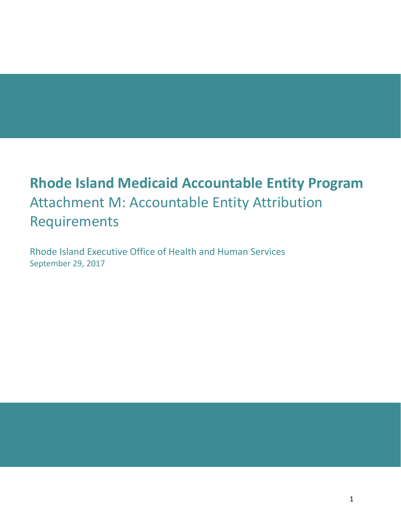# **Rhode Island Medicaid Accountable Entity Program** Attachment M: Accountable Entity Attribution Requirements

Rhode Island Executive Office of Health and Human Services September 29, 2017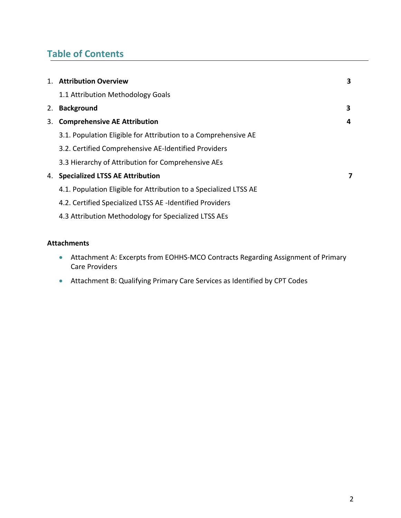# **Table of Contents**

|    | 1. Attribution Overview                                           | 3 |
|----|-------------------------------------------------------------------|---|
|    | 1.1 Attribution Methodology Goals                                 |   |
| 2. | <b>Background</b>                                                 | 3 |
| 3. | <b>Comprehensive AE Attribution</b>                               | 4 |
|    | 3.1. Population Eligible for Attribution to a Comprehensive AE    |   |
|    | 3.2. Certified Comprehensive AE-Identified Providers              |   |
|    | 3.3 Hierarchy of Attribution for Comprehensive AEs                |   |
| 4. | <b>Specialized LTSS AE Attribution</b>                            | 7 |
|    | 4.1. Population Eligible for Attribution to a Specialized LTSS AE |   |
|    | 4.2. Certified Specialized LTSS AE -Identified Providers          |   |
|    | 4.3 Attribution Methodology for Specialized LTSS AEs              |   |
|    |                                                                   |   |

#### **Attachments**

- Attachment A: Excerpts from EOHHS-MCO Contracts Regarding Assignment of Primary Care Providers
- Attachment B: Qualifying Primary Care Services as Identified by CPT Codes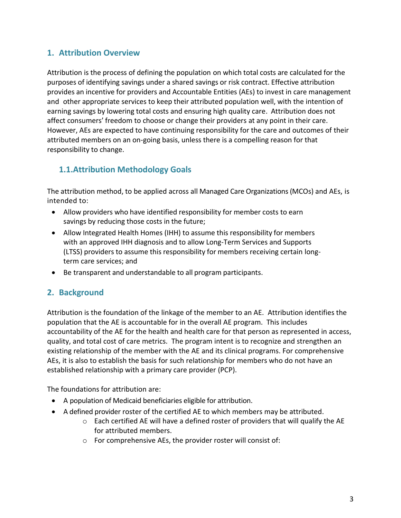### **1. Attribution Overview**

Attribution is the process of defining the population on which total costs are calculated for the purposes of identifying savings under a shared savings or risk contract. Effective attribution provides an incentive for providers and Accountable Entities (AEs) to invest in care management and other appropriate services to keep their attributed population well, with the intention of earning savings by lowering total costs and ensuring high quality care. Attribution does not affect consumers' freedom to choose or change their providers at any point in their care. However, AEs are expected to have continuing responsibility for the care and outcomes of their attributed members on an on-going basis, unless there is a compelling reason for that responsibility to change.

# **1.1.Attribution Methodology Goals**

The attribution method, to be applied across all Managed Care Organizations (MCOs) and AEs, is intended to:

- Allow providers who have identified responsibility for member costs to earn savings by reducing those costs in the future;
- Allow Integrated Health Homes (IHH) to assume this responsibility for members with an approved IHH diagnosis and to allow Long-Term Services and Supports (LTSS) providers to assume this responsibility for members receiving certain longterm care services; and
- Be transparent and understandable to all program participants.

### **2. Background**

Attribution is the foundation of the linkage of the member to an AE. Attribution identifies the population that the AE is accountable for in the overall AE program. This includes accountability of the AE for the health and health care for that person as represented in access, quality, and total cost of care metrics. The program intent is to recognize and strengthen an existing relationship of the member with the AE and its clinical programs. For comprehensive AEs, it is also to establish the basis for such relationship for members who do not have an established relationship with a primary care provider (PCP).

The foundations for attribution are:

- A population of Medicaid beneficiaries eligible for attribution.
- A defined provider roster of the certified AE to which members may be attributed.
	- o Each certified AE will have a defined roster of providers that will qualify the AE for attributed members.
	- o For comprehensive AEs, the provider roster will consist of: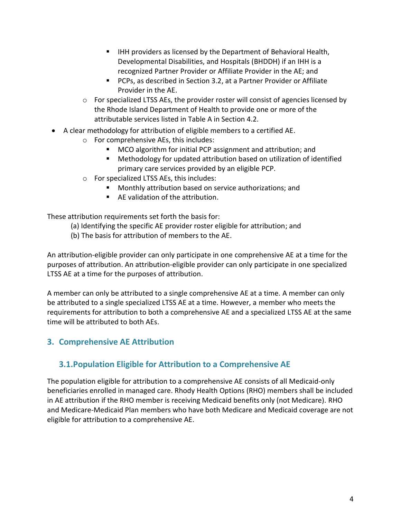- IHH providers as licensed by the Department of Behavioral Health, Developmental Disabilities, and Hospitals (BHDDH) if an IHH is a recognized Partner Provider or Affiliate Provider in the AE; and
- PCPs, as described in Section 3.2, at a Partner Provider or Affiliate Provider in the AE.
- $\circ$  For specialized LTSS AEs, the provider roster will consist of agencies licensed by the Rhode Island Department of Health to provide one or more of the attributable services listed in Table A in Section 4.2.
- A clear methodology for attribution of eligible members to a certified AE.
	- o For comprehensive AEs, this includes:
		- MCO algorithm for initial PCP assignment and attribution; and
		- Methodology for updated attribution based on utilization of identified primary care services provided by an eligible PCP.
	- o For specialized LTSS AEs, this includes:
		- Monthly attribution based on service authorizations; and
		- AE validation of the attribution.

These attribution requirements set forth the basis for:

- (a) Identifying the specific AE provider roster eligible for attribution; and
- (b) The basis for attribution of members to the AE.

An attribution-eligible provider can only participate in one comprehensive AE at a time for the purposes of attribution. An attribution-eligible provider can only participate in one specialized LTSS AE at a time for the purposes of attribution.

A member can only be attributed to a single comprehensive AE at a time. A member can only be attributed to a single specialized LTSS AE at a time. However, a member who meets the requirements for attribution to both a comprehensive AE and a specialized LTSS AE at the same time will be attributed to both AEs.

# **3. Comprehensive AE Attribution**

### **3.1.Population Eligible for Attribution to a Comprehensive AE**

The population eligible for attribution to a comprehensive AE consists of all Medicaid-only beneficiaries enrolled in managed care. Rhody Health Options (RHO) members shall be included in AE attribution if the RHO member is receiving Medicaid benefits only (not Medicare). RHO and Medicare-Medicaid Plan members who have both Medicare and Medicaid coverage are not eligible for attribution to a comprehensive AE.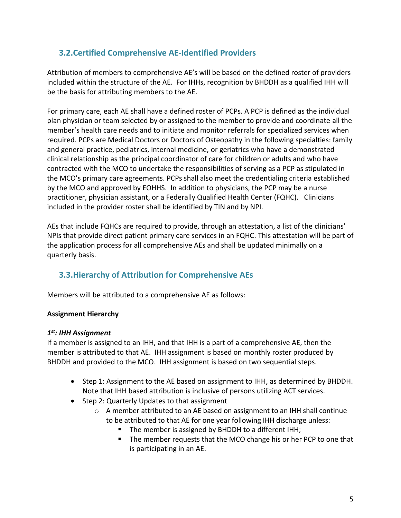# **3.2.Certified Comprehensive AE-Identified Providers**

Attribution of members to comprehensive AE's will be based on the defined roster of providers included within the structure of the AE. For IHHs, recognition by BHDDH as a qualified IHH will be the basis for attributing members to the AE.

For primary care, each AE shall have a defined roster of PCPs. A PCP is defined as the individual plan physician or team selected by or assigned to the member to provide and coordinate all the member's health care needs and to initiate and monitor referrals for specialized services when required. PCPs are Medical Doctors or Doctors of Osteopathy in the following specialties: family and general practice, pediatrics, internal medicine, or geriatrics who have a demonstrated clinical relationship as the principal coordinator of care for children or adults and who have contracted with the MCO to undertake the responsibilities of serving as a PCP as stipulated in the MCO's primary care agreements. PCPs shall also meet the credentialing criteria established by the MCO and approved by EOHHS. In addition to physicians, the PCP may be a nurse practitioner, physician assistant, or a Federally Qualified Health Center (FQHC). Clinicians included in the provider roster shall be identified by TIN and by NPI.

AEs that include FQHCs are required to provide, through an attestation, a list of the clinicians' NPIs that provide direct patient primary care services in an FQHC. This attestation will be part of the application process for all comprehensive AEs and shall be updated minimally on a quarterly basis.

### **3.3.Hierarchy of Attribution for Comprehensive AEs**

Members will be attributed to a comprehensive AE as follows:

#### **Assignment Hierarchy**

#### *1st: IHH Assignment*

If a member is assigned to an IHH, and that IHH is a part of a comprehensive AE, then the member is attributed to that AE. IHH assignment is based on monthly roster produced by BHDDH and provided to the MCO. IHH assignment is based on two sequential steps.

- Step 1: Assignment to the AE based on assignment to IHH, as determined by BHDDH. Note that IHH based attribution is inclusive of persons utilizing ACT services.
- Step 2: Quarterly Updates to that assignment
	- $\circ$  A member attributed to an AE based on assignment to an IHH shall continue to be attributed to that AE for one year following IHH discharge unless:
		- The member is assigned by BHDDH to a different IHH;
		- The member requests that the MCO change his or her PCP to one that is participating in an AE.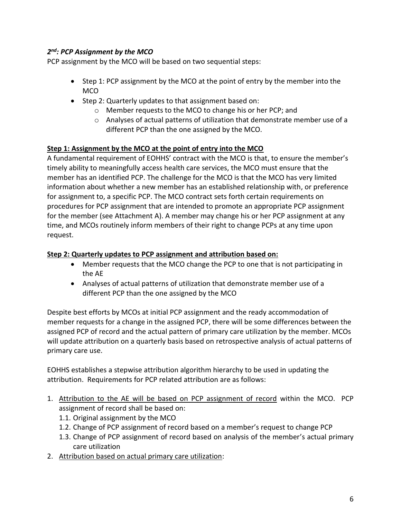#### *2nd: PCP Assignment by the MCO*

PCP assignment by the MCO will be based on two sequential steps:

- Step 1: PCP assignment by the MCO at the point of entry by the member into the MCO
- Step 2: Quarterly updates to that assignment based on:
	- o Member requests to the MCO to change his or her PCP; and
	- $\circ$  Analyses of actual patterns of utilization that demonstrate member use of a different PCP than the one assigned by the MCO.

#### **Step 1: Assignment by the MCO at the point of entry into the MCO**

A fundamental requirement of EOHHS' contract with the MCO is that, to ensure the member's timely ability to meaningfully access health care services, the MCO must ensure that the member has an identified PCP. The challenge for the MCO is that the MCO has very limited information about whether a new member has an established relationship with, or preference for assignment to, a specific PCP. The MCO contract sets forth certain requirements on procedures for PCP assignment that are intended to promote an appropriate PCP assignment for the member (see Attachment A). A member may change his or her PCP assignment at any time, and MCOs routinely inform members of their right to change PCPs at any time upon request.

#### **Step 2: Quarterly updates to PCP assignment and attribution based on:**

- Member requests that the MCO change the PCP to one that is not participating in the AE
- Analyses of actual patterns of utilization that demonstrate member use of a different PCP than the one assigned by the MCO

Despite best efforts by MCOs at initial PCP assignment and the ready accommodation of member requests for a change in the assigned PCP, there will be some differences between the assigned PCP of record and the actual pattern of primary care utilization by the member. MCOs will update attribution on a quarterly basis based on retrospective analysis of actual patterns of primary care use.

EOHHS establishes a stepwise attribution algorithm hierarchy to be used in updating the attribution. Requirements for PCP related attribution are as follows:

- 1. Attribution to the AE will be based on PCP assignment of record within the MCO. PCP assignment of record shall be based on:
	- 1.1. Original assignment by the MCO
	- 1.2. Change of PCP assignment of record based on a member's request to change PCP
	- 1.3. Change of PCP assignment of record based on analysis of the member's actual primary care utilization
- 2. Attribution based on actual primary care utilization: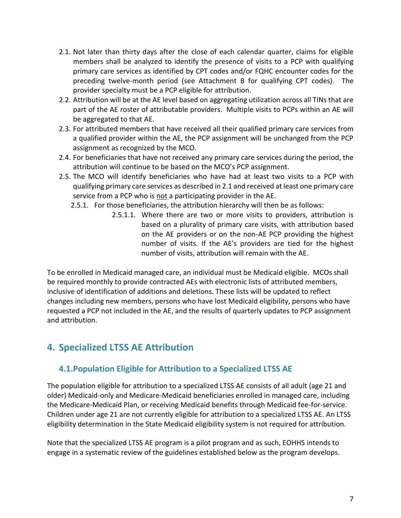- 2.1. Not later than thirty days after the close of each calendar quarter, claims for eligible members shall be analyzed to identify the presence of visits to a PCP with qualifying primary care services as identified by CPT codes and/or FQHC encounter codes for the preceding twelve-month period (see Attachment B for qualifying CPT codes). The provider specialty must be a PCP eligible for attribution.
- 2.2. Attribution will be at the AE level based on aggregating utilization across all TINs that are part of the AE roster of attributable providers. Multiple visits to PCPs within an AE will be aggregated to that AE.
- 2.3. For attributed members that have received all their qualified primary care services from a qualified provider within the AE, the PCP assignment will be unchanged from the PCP assignment as recognized by the MCO.
- 2.4. For beneficiaries that have not received any primary care services during the period, the attribution will continue to be based on the MCO's PCP assignment.
- 2.5. The MCO will identify beneficiaries who have had at least two visits to a PCP with qualifying primary care services as described in 2.1 and received at least one primary care service from a PCP who is not a participating provider in the AE.
	- 2.5.1. For those beneficiaries, the attribution hierarchy will then be as follows:
		- 2.5.1.1. Where there are two or more visits to providers, attribution is based on a plurality of primary care visits, with attribution based on the AE providers or on the non-AE PCP providing the highest number of visits. If the AE's providers are tied for the highest number of visits, attribution will remain with the AE.

To be enrolled in Medicaid managed care, an individual must be Medicaid eligible. MCOs shall be required monthly to provide contracted AEs with electronic lists of attributed members, inclusive of identification of additions and deletions. These lists will be updated to reflect changes including new members, persons who have lost Medicaid eligibility, persons who have requested a PCP not included in the AE, and the results of quarterly updates to PCP assignment and attribution.

# **4. Specialized LTSS AE Attribution**

# **4.1.Population Eligible for Attribution to a Specialized LTSS AE**

The population eligible for attribution to a specialized LTSS AE consists of all adult (age 21 and older) Medicaid-only and Medicare-Medicaid beneficiaries enrolled in managed care, including the Medicare-Medicaid Plan, or receiving Medicaid benefits through Medicaid fee-for-service. Children under age 21 are not currently eligible for attribution to a specialized LTSS AE. An LTSS eligibility determination in the State Medicaid eligibility system is not required for attribution.

Note that the specialized LTSS AE program is a pilot program and as such, EOHHS intends to engage in a systematic review of the guidelines established below as the program develops.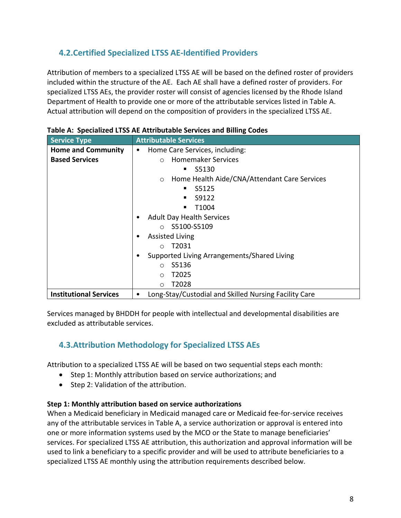# **4.2.Certified Specialized LTSS AE-Identified Providers**

Attribution of members to a specialized LTSS AE will be based on the defined roster of providers included within the structure of the AE. Each AE shall have a defined roster of providers. For specialized LTSS AEs, the provider roster will consist of agencies licensed by the Rhode Island Department of Health to provide one or more of the attributable services listed in Table A. Actual attribution will depend on the composition of providers in the specialized LTSS AE.

| <b>Service Type</b>                                                                         | <b>Attributable Services</b>                            |  |  |
|---------------------------------------------------------------------------------------------|---------------------------------------------------------|--|--|
| <b>Home and Community</b>                                                                   | Home Care Services, including:<br>$\bullet$             |  |  |
| <b>Based Services</b>                                                                       | <b>Homemaker Services</b><br>$\circ$                    |  |  |
|                                                                                             | S5130                                                   |  |  |
|                                                                                             | Home Health Aide/CNA/Attendant Care Services<br>$\circ$ |  |  |
|                                                                                             | S5125<br>٠                                              |  |  |
|                                                                                             | S9122                                                   |  |  |
|                                                                                             | T <sub>1</sub> 004                                      |  |  |
|                                                                                             | <b>Adult Day Health Services</b>                        |  |  |
|                                                                                             | $\circ$ S5100-S5109                                     |  |  |
|                                                                                             | <b>Assisted Living</b><br>٠                             |  |  |
|                                                                                             | T2031<br>$\bigcap$                                      |  |  |
|                                                                                             | Supported Living Arrangements/Shared Living             |  |  |
|                                                                                             | S5136<br>$\bigcirc$                                     |  |  |
|                                                                                             | T <sub>2025</sub><br>$\circ$                            |  |  |
|                                                                                             | T2028<br>$\circ$                                        |  |  |
| <b>Institutional Services</b><br>Long-Stay/Custodial and Skilled Nursing Facility Care<br>٠ |                                                         |  |  |

Services managed by BHDDH for people with intellectual and developmental disabilities are excluded as attributable services.

# **4.3.Attribution Methodology for Specialized LTSS AEs**

Attribution to a specialized LTSS AE will be based on two sequential steps each month:

- Step 1: Monthly attribution based on service authorizations; and
- Step 2: Validation of the attribution.

#### **Step 1: Monthly attribution based on service authorizations**

When a Medicaid beneficiary in Medicaid managed care or Medicaid fee-for-service receives any of the attributable services in Table A, a service authorization or approval is entered into one or more information systems used by the MCO or the State to manage beneficiaries' services. For specialized LTSS AE attribution, this authorization and approval information will be used to link a beneficiary to a specific provider and will be used to attribute beneficiaries to a specialized LTSS AE monthly using the attribution requirements described below.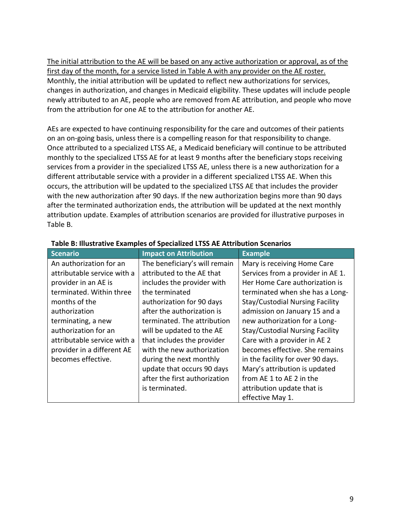The initial attribution to the AE will be based on any active authorization or approval, as of the first day of the month, for a service listed in Table A with any provider on the AE roster. Monthly, the initial attribution will be updated to reflect new authorizations for services, changes in authorization, and changes in Medicaid eligibility. These updates will include people newly attributed to an AE, people who are removed from AE attribution, and people who move from the attribution for one AE to the attribution for another AE.

AEs are expected to have continuing responsibility for the care and outcomes of their patients on an on-going basis, unless there is a compelling reason for that responsibility to change. Once attributed to a specialized LTSS AE, a Medicaid beneficiary will continue to be attributed monthly to the specialized LTSS AE for at least 9 months after the beneficiary stops receiving services from a provider in the specialized LTSS AE, unless there is a new authorization for a different attributable service with a provider in a different specialized LTSS AE. When this occurs, the attribution will be updated to the specialized LTSS AE that includes the provider with the new authorization after 90 days. If the new authorization begins more than 90 days after the terminated authorization ends, the attribution will be updated at the next monthly attribution update. Examples of attribution scenarios are provided for illustrative purposes in Table B.

| <b>Scenario</b>             | <b>Impact on Attribution</b>  | <b>Example</b>                         |
|-----------------------------|-------------------------------|----------------------------------------|
| An authorization for an     | The beneficiary's will remain | Mary is receiving Home Care            |
| attributable service with a | attributed to the AE that     | Services from a provider in AE 1.      |
| provider in an AE is        | includes the provider with    | Her Home Care authorization is         |
| terminated. Within three    | the terminated                | terminated when she has a Long-        |
| months of the               | authorization for 90 days     | <b>Stay/Custodial Nursing Facility</b> |
| authorization               | after the authorization is    | admission on January 15 and a          |
| terminating, a new          | terminated. The attribution   | new authorization for a Long-          |
| authorization for an        | will be updated to the AE     | <b>Stay/Custodial Nursing Facility</b> |
| attributable service with a | that includes the provider    | Care with a provider in AE 2           |
| provider in a different AE  | with the new authorization    | becomes effective. She remains         |
| becomes effective.          | during the next monthly       | in the facility for over 90 days.      |
|                             | update that occurs 90 days    | Mary's attribution is updated          |
|                             | after the first authorization | from AE 1 to AE 2 in the               |
|                             | is terminated.                | attribution update that is             |
|                             |                               | effective May 1.                       |

#### **Table B: Illustrative Examples of Specialized LTSS AE Attribution Scenarios**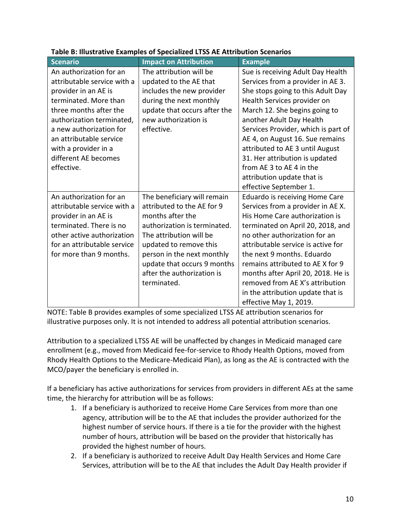| <b>Scenario</b>             | <b>Impact on Attribution</b> | <b>Example</b>                      |
|-----------------------------|------------------------------|-------------------------------------|
| An authorization for an     | The attribution will be      | Sue is receiving Adult Day Health   |
| attributable service with a | updated to the AE that       | Services from a provider in AE 3.   |
| provider in an AE is        | includes the new provider    | She stops going to this Adult Day   |
| terminated. More than       | during the next monthly      | Health Services provider on         |
| three months after the      | update that occurs after the | March 12. She begins going to       |
| authorization terminated,   | new authorization is         | another Adult Day Health            |
| a new authorization for     | effective.                   | Services Provider, which is part of |
| an attributable service     |                              | AE 4, on August 16. Sue remains     |
| with a provider in a        |                              | attributed to AE 3 until August     |
| different AE becomes        |                              | 31. Her attribution is updated      |
| effective.                  |                              | from AE 3 to AE 4 in the            |
|                             |                              | attribution update that is          |
|                             |                              | effective September 1.              |
| An authorization for an     | The beneficiary will remain  | Eduardo is receiving Home Care      |
| attributable service with a | attributed to the AE for 9   | Services from a provider in AE X.   |
| provider in an AE is        | months after the             | His Home Care authorization is      |
| terminated. There is no     | authorization is terminated. | terminated on April 20, 2018, and   |
| other active authorization  | The attribution will be      | no other authorization for an       |
| for an attributable service | updated to remove this       | attributable service is active for  |
| for more than 9 months.     | person in the next monthly   | the next 9 months. Eduardo          |
|                             | update that occurs 9 months  | remains attributed to AE X for 9    |
|                             | after the authorization is   | months after April 20, 2018. He is  |
|                             | terminated.                  | removed from AE X's attribution     |
|                             |                              | in the attribution update that is   |
|                             |                              | effective May 1, 2019.              |

#### **Table B: Illustrative Examples of Specialized LTSS AE Attribution Scenarios**

NOTE: Table B provides examples of some specialized LTSS AE attribution scenarios for illustrative purposes only. It is not intended to address all potential attribution scenarios.

Attribution to a specialized LTSS AE will be unaffected by changes in Medicaid managed care enrollment (e.g., moved from Medicaid fee-for-service to Rhody Health Options, moved from Rhody Health Options to the Medicare-Medicaid Plan), as long as the AE is contracted with the MCO/payer the beneficiary is enrolled in.

If a beneficiary has active authorizations for services from providers in different AEs at the same time, the hierarchy for attribution will be as follows:

- 1. If a beneficiary is authorized to receive Home Care Services from more than one agency, attribution will be to the AE that includes the provider authorized for the highest number of service hours. If there is a tie for the provider with the highest number of hours, attribution will be based on the provider that historically has provided the highest number of hours.
- 2. If a beneficiary is authorized to receive Adult Day Health Services and Home Care Services, attribution will be to the AE that includes the Adult Day Health provider if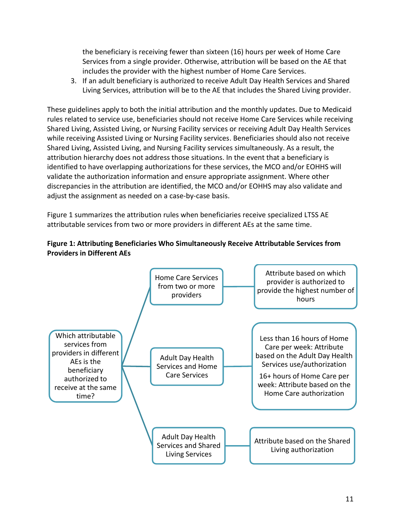the beneficiary is receiving fewer than sixteen (16) hours per week of Home Care Services from a single provider. Otherwise, attribution will be based on the AE that includes the provider with the highest number of Home Care Services.

3. If an adult beneficiary is authorized to receive Adult Day Health Services and Shared Living Services, attribution will be to the AE that includes the Shared Living provider.

These guidelines apply to both the initial attribution and the monthly updates. Due to Medicaid rules related to service use, beneficiaries should not receive Home Care Services while receiving Shared Living, Assisted Living, or Nursing Facility services or receiving Adult Day Health Services while receiving Assisted Living or Nursing Facility services. Beneficiaries should also not receive Shared Living, Assisted Living, and Nursing Facility services simultaneously. As a result, the attribution hierarchy does not address those situations. In the event that a beneficiary is identified to have overlapping authorizations for these services, the MCO and/or EOHHS will validate the authorization information and ensure appropriate assignment. Where other discrepancies in the attribution are identified, the MCO and/or EOHHS may also validate and adjust the assignment as needed on a case-by-case basis.

Figure 1 summarizes the attribution rules when beneficiaries receive specialized LTSS AE attributable services from two or more providers in different AEs at the same time.



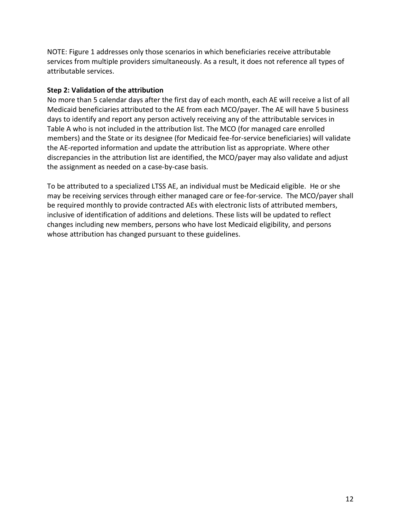NOTE: Figure 1 addresses only those scenarios in which beneficiaries receive attributable services from multiple providers simultaneously. As a result, it does not reference all types of attributable services.

#### **Step 2: Validation of the attribution**

No more than 5 calendar days after the first day of each month, each AE will receive a list of all Medicaid beneficiaries attributed to the AE from each MCO/payer. The AE will have 5 business days to identify and report any person actively receiving any of the attributable services in Table A who is not included in the attribution list. The MCO (for managed care enrolled members) and the State or its designee (for Medicaid fee-for-service beneficiaries) will validate the AE-reported information and update the attribution list as appropriate. Where other discrepancies in the attribution list are identified, the MCO/payer may also validate and adjust the assignment as needed on a case-by-case basis.

To be attributed to a specialized LTSS AE, an individual must be Medicaid eligible. He or she may be receiving services through either managed care or fee-for-service. The MCO/payer shall be required monthly to provide contracted AEs with electronic lists of attributed members, inclusive of identification of additions and deletions. These lists will be updated to reflect changes including new members, persons who have lost Medicaid eligibility, and persons whose attribution has changed pursuant to these guidelines.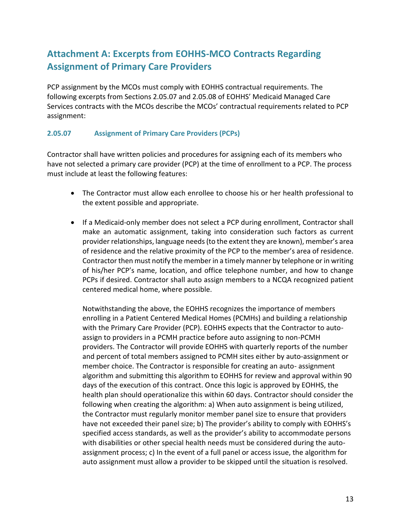# **Attachment A: Excerpts from EOHHS-MCO Contracts Regarding Assignment of Primary Care Providers**

PCP assignment by the MCOs must comply with EOHHS contractual requirements. The following excerpts from Sections 2.05.07 and 2.05.08 of EOHHS' Medicaid Managed Care Services contracts with the MCOs describe the MCOs' contractual requirements related to PCP assignment:

#### **2.05.07 Assignment of Primary Care Providers (PCPs)**

Contractor shall have written policies and procedures for assigning each of its members who have not selected a primary care provider (PCP) at the time of enrollment to a PCP. The process must include at least the following features:

- The Contractor must allow each enrollee to choose his or her health professional to the extent possible and appropriate.
- If a Medicaid-only member does not select a PCP during enrollment, Contractor shall make an automatic assignment, taking into consideration such factors as current provider relationships, language needs (to the extent they are known), member's area of residence and the relative proximity of the PCP to the member's area of residence. Contractor then must notify the member in a timely manner by telephone or in writing of his/her PCP's name, location, and office telephone number, and how to change PCPs if desired. Contractor shall auto assign members to a NCQA recognized patient centered medical home, where possible.

Notwithstanding the above, the EOHHS recognizes the importance of members enrolling in a Patient Centered Medical Homes (PCMHs) and building a relationship with the Primary Care Provider (PCP). EOHHS expects that the Contractor to autoassign to providers in a PCMH practice before auto assigning to non-PCMH providers. The Contractor will provide EOHHS with quarterly reports of the number and percent of total members assigned to PCMH sites either by auto-assignment or member choice. The Contractor is responsible for creating an auto- assignment algorithm and submitting this algorithm to EOHHS for review and approval within 90 days of the execution of this contract. Once this logic is approved by EOHHS, the health plan should operationalize this within 60 days. Contractor should consider the following when creating the algorithm: a) When auto assignment is being utilized, the Contractor must regularly monitor member panel size to ensure that providers have not exceeded their panel size; b) The provider's ability to comply with EOHHS's specified access standards, as well as the provider's ability to accommodate persons with disabilities or other special health needs must be considered during the autoassignment process; c) In the event of a full panel or access issue, the algorithm for auto assignment must allow a provider to be skipped until the situation is resolved.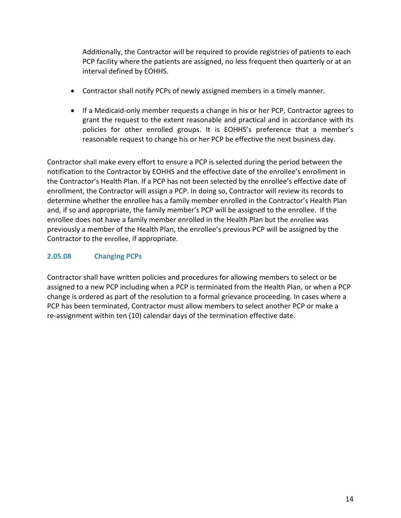Additionally, the Contractor will be required to provide registries of patients to each PCP facility where the patients are assigned, no less frequent then quarterly or at an interval defined by EOHHS.

- Contractor shall notify PCPs of newly assigned members in a timely manner.
- If a Medicaid-only member requests a change in his or her PCP, Contractor agrees to grant the request to the extent reasonable and practical and in accordance with its policies for other enrolled groups. It is EOHHS's preference that a member's reasonable request to change his or her PCP be effective the next business day.

Contractor shall make every effort to ensure a PCP is selected during the period between the notification to the Contractor by EOHHS and the effective date of the enrollee's enrollment in the Contractor's Health Plan. If a PCP has not been selected by the enrollee's effective date of enrollment, the Contractor will assign a PCP. In doing so, Contractor will review its records to determine whether the enrollee has a family member enrolled in the Contractor's Health Plan and, if so and appropriate, the family member's PCP will be assigned to the enrollee. If the enrollee does not have a family member enrolled in the Health Plan but the enrollee was previously a member of the Health Plan, the enrollee's previous PCP will be assigned by the Contractor to the enrollee, if appropriate.

#### **2.05.08 Changing PCPs**

Contractor shall have written policies and procedures for allowing members to select or be assigned to a new PCP including when a PCP is terminated from the Health Plan, or when a PCP change is ordered as part of the resolution to a formal grievance proceeding. In cases where a PCP has been terminated, Contractor must allow members to select another PCP or make a re-assignment within ten (10) calendar days of the termination effective date.